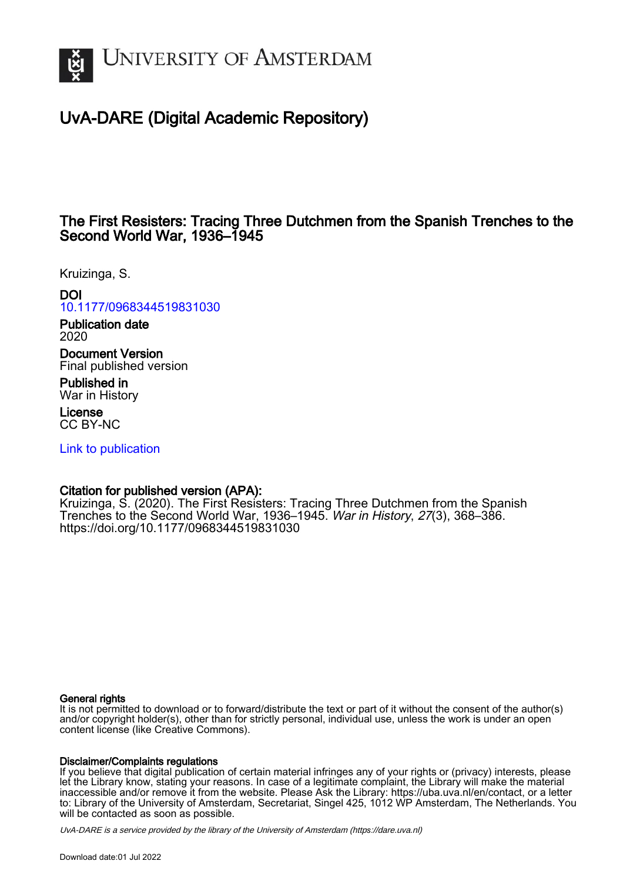

# UvA-DARE (Digital Academic Repository)

## The First Resisters: Tracing Three Dutchmen from the Spanish Trenches to the Second World War, 1936–1945

Kruizinga, S.

## DOI

[10.1177/0968344519831030](https://doi.org/10.1177/0968344519831030)

Publication date 2020

Document Version Final published version

Published in War in History

License CC BY-NC

[Link to publication](https://dare.uva.nl/personal/pure/en/publications/the-first-resisters-tracing-three-dutchmen-from-the-spanish-trenches-to-the-second-world-war-19361945(6bef7ac8-c879-43ba-bf7c-15ddc39c7e88).html)

## Citation for published version (APA):

Kruizinga, S. (2020). The First Resisters: Tracing Three Dutchmen from the Spanish Trenches to the Second World War, 1936–1945. War in History, 27(3), 368–386. <https://doi.org/10.1177/0968344519831030>

## General rights

It is not permitted to download or to forward/distribute the text or part of it without the consent of the author(s) and/or copyright holder(s), other than for strictly personal, individual use, unless the work is under an open content license (like Creative Commons).

### Disclaimer/Complaints regulations

If you believe that digital publication of certain material infringes any of your rights or (privacy) interests, please let the Library know, stating your reasons. In case of a legitimate complaint, the Library will make the material inaccessible and/or remove it from the website. Please Ask the Library: https://uba.uva.nl/en/contact, or a letter to: Library of the University of Amsterdam, Secretariat, Singel 425, 1012 WP Amsterdam, The Netherlands. You will be contacted as soon as possible.

UvA-DARE is a service provided by the library of the University of Amsterdam (http*s*://dare.uva.nl)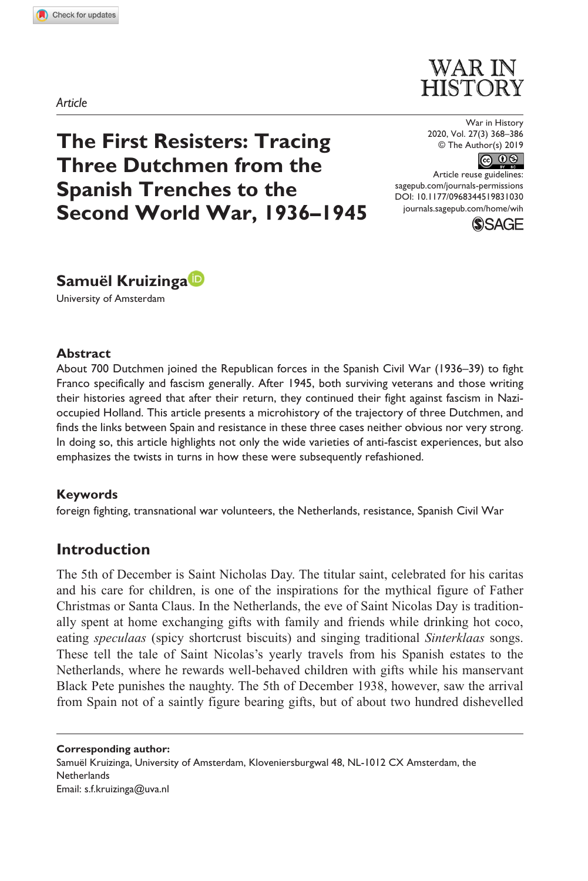**8310[30](http://crossmark.crossref.org/dialog/?doi=10.1177%2F0968344519831030&domain=pdf&date_stamp=2019-07-05)** WIH0010.1177/0968344519831030War in History**Kruizinga**

*Article*



**The First Resisters: Tracing Three Dutchmen from the Spanish Trenches to the Second World War, 1936–1945**

War in History 2020, Vol. 27(3) 368–386 © The Author(s) 2019



https://doi.org/10.1177/0968344519831030 [sagepub.com/journals-permissions](https://uk.sagepub.com/en-gb/journals-permissions) Article reuse guidelines: DOI: 10.1177/0968344519831030 [journals.sagepub.com/home/wih](https://journals.sagepub.com/home/wih)





University of Amsterdam

#### **Abstract**

About 700 Dutchmen joined the Republican forces in the Spanish Civil War (1936–39) to fight Franco specifically and fascism generally. After 1945, both surviving veterans and those writing their histories agreed that after their return, they continued their fight against fascism in Nazioccupied Holland. This article presents a microhistory of the trajectory of three Dutchmen, and finds the links between Spain and resistance in these three cases neither obvious nor very strong. In doing so, this article highlights not only the wide varieties of anti-fascist experiences, but also emphasizes the twists in turns in how these were subsequently refashioned.

#### **Keywords**

foreign fighting, transnational war volunteers, the Netherlands, resistance, Spanish Civil War

## **Introduction**

The 5th of December is Saint Nicholas Day. The titular saint, celebrated for his caritas and his care for children, is one of the inspirations for the mythical figure of Father Christmas or Santa Claus. In the Netherlands, the eve of Saint Nicolas Day is traditionally spent at home exchanging gifts with family and friends while drinking hot coco, eating *speculaas* (spicy shortcrust biscuits) and singing traditional *Sinterklaas* songs. These tell the tale of Saint Nicolas's yearly travels from his Spanish estates to the Netherlands, where he rewards well-behaved children with gifts while his manservant Black Pete punishes the naughty. The 5th of December 1938, however, saw the arrival from Spain not of a saintly figure bearing gifts, but of about two hundred dishevelled

**Corresponding author:** Samuël Kruizinga, University of Amsterdam, Kloveniersburgwal 48, NL-1012 CX Amsterdam, the **Netherlands** Email: s.f.kruizinga@uva.nl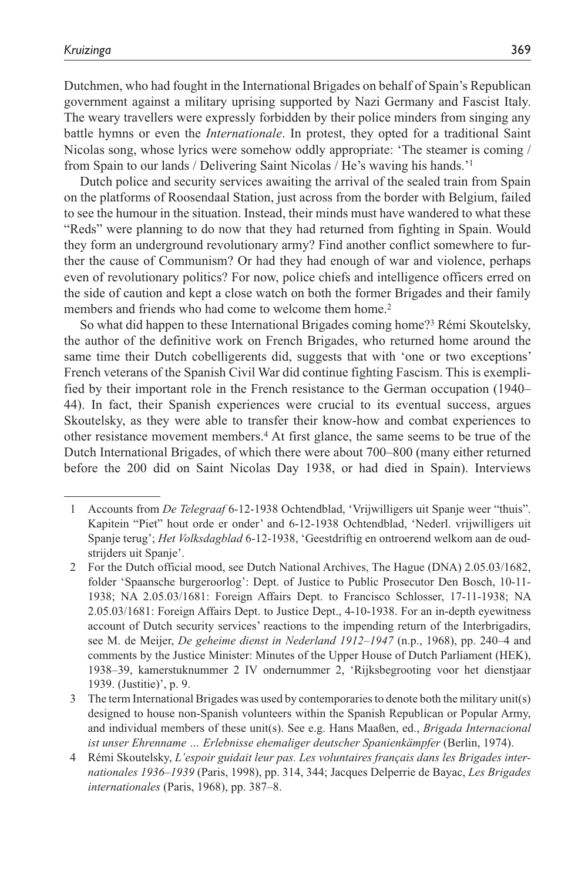Dutchmen, who had fought in the International Brigades on behalf of Spain's Republican government against a military uprising supported by Nazi Germany and Fascist Italy. The weary travellers were expressly forbidden by their police minders from singing any battle hymns or even the *Internationale*. In protest, they opted for a traditional Saint Nicolas song, whose lyrics were somehow oddly appropriate: 'The steamer is coming / from Spain to our lands / Delivering Saint Nicolas / He's waving his hands.'1

Dutch police and security services awaiting the arrival of the sealed train from Spain on the platforms of Roosendaal Station, just across from the border with Belgium, failed to see the humour in the situation. Instead, their minds must have wandered to what these "Reds" were planning to do now that they had returned from fighting in Spain. Would they form an underground revolutionary army? Find another conflict somewhere to further the cause of Communism? Or had they had enough of war and violence, perhaps even of revolutionary politics? For now, police chiefs and intelligence officers erred on the side of caution and kept a close watch on both the former Brigades and their family members and friends who had come to welcome them home.<sup>2</sup>

So what did happen to these International Brigades coming home?3 Rémi Skoutelsky, the author of the definitive work on French Brigades, who returned home around the same time their Dutch cobelligerents did, suggests that with 'one or two exceptions' French veterans of the Spanish Civil War did continue fighting Fascism. This is exemplified by their important role in the French resistance to the German occupation (1940– 44). In fact, their Spanish experiences were crucial to its eventual success, argues Skoutelsky, as they were able to transfer their know-how and combat experiences to other resistance movement members.4 At first glance, the same seems to be true of the Dutch International Brigades, of which there were about 700–800 (many either returned before the 200 did on Saint Nicolas Day 1938, or had died in Spain). Interviews

<sup>1</sup> Accounts from *De Telegraaf* 6-12-1938 Ochtendblad, 'Vrijwilligers uit Spanje weer "thuis". Kapitein "Piet" hout orde er onder' and 6-12-1938 Ochtendblad, 'Nederl. vrijwilligers uit Spanje terug'; *Het Volksdagblad* 6-12-1938, 'Geestdriftig en ontroerend welkom aan de oudstrijders uit Spanje'.

<sup>2</sup> For the Dutch official mood, see Dutch National Archives, The Hague (DNA) 2.05.03/1682, folder 'Spaansche burgeroorlog': Dept. of Justice to Public Prosecutor Den Bosch, 10-11- 1938; NA 2.05.03/1681: Foreign Affairs Dept. to Francisco Schlosser, 17-11-1938; NA 2.05.03/1681: Foreign Affairs Dept. to Justice Dept., 4-10-1938. For an in-depth eyewitness account of Dutch security services' reactions to the impending return of the Interbrigadirs, see M. de Meijer, *De geheime dienst in Nederland 1912–1947* (n.p., 1968), pp. 240–4 and comments by the Justice Minister: Minutes of the Upper House of Dutch Parliament (HEK), 1938–39, kamerstuknummer 2 IV ondernummer 2, 'Rijksbegrooting voor het dienstjaar 1939. (Justitie)', p. 9.

<sup>3</sup> The term International Brigades was used by contemporaries to denote both the military unit(s) designed to house non-Spanish volunteers within the Spanish Republican or Popular Army, and individual members of these unit(s). See e.g. Hans Maaßen, ed., *Brigada Internacional ist unser Ehrenname … Erlebnisse ehemaliger deutscher Spanienkämpfer* (Berlin, 1974).

<sup>4</sup> Rémi Skoutelsky, *L'espoir guidait leur pas. Les voluntaires français dans les Brigades internationales 1936–1939* (Paris, 1998), pp. 314, 344; Jacques Delperrie de Bayac, *Les Brigades internationales* (Paris, 1968), pp. 387–8.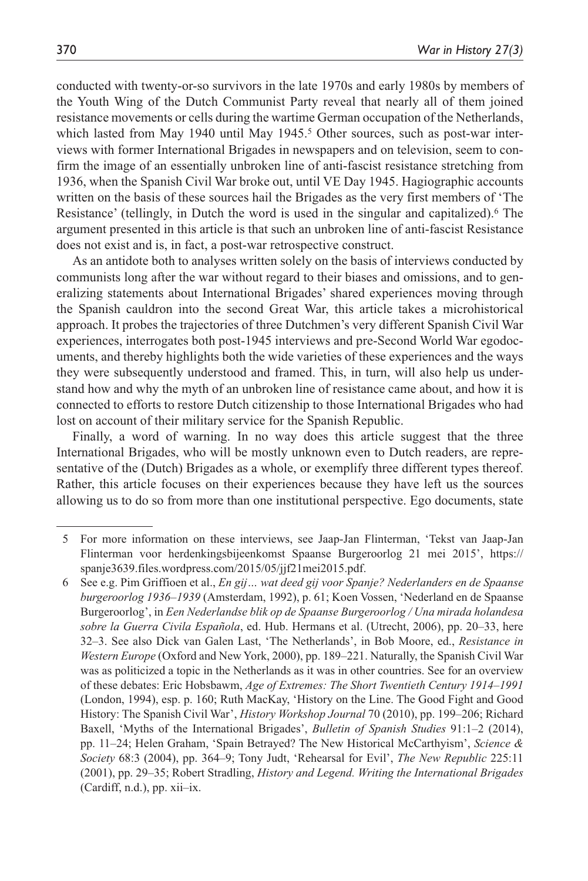conducted with twenty-or-so survivors in the late 1970s and early 1980s by members of the Youth Wing of the Dutch Communist Party reveal that nearly all of them joined resistance movements or cells during the wartime German occupation of the Netherlands, which lasted from May 1940 until May 1945.<sup>5</sup> Other sources, such as post-war interviews with former International Brigades in newspapers and on television, seem to confirm the image of an essentially unbroken line of anti-fascist resistance stretching from 1936, when the Spanish Civil War broke out, until VE Day 1945. Hagiographic accounts written on the basis of these sources hail the Brigades as the very first members of 'The Resistance' (tellingly, in Dutch the word is used in the singular and capitalized).<sup>6</sup> The argument presented in this article is that such an unbroken line of anti-fascist Resistance does not exist and is, in fact, a post-war retrospective construct.

As an antidote both to analyses written solely on the basis of interviews conducted by communists long after the war without regard to their biases and omissions, and to generalizing statements about International Brigades' shared experiences moving through the Spanish cauldron into the second Great War, this article takes a microhistorical approach. It probes the trajectories of three Dutchmen's very different Spanish Civil War experiences, interrogates both post-1945 interviews and pre-Second World War egodocuments, and thereby highlights both the wide varieties of these experiences and the ways they were subsequently understood and framed. This, in turn, will also help us understand how and why the myth of an unbroken line of resistance came about, and how it is connected to efforts to restore Dutch citizenship to those International Brigades who had lost on account of their military service for the Spanish Republic.

Finally, a word of warning. In no way does this article suggest that the three International Brigades, who will be mostly unknown even to Dutch readers, are representative of the (Dutch) Brigades as a whole, or exemplify three different types thereof. Rather, this article focuses on their experiences because they have left us the sources allowing us to do so from more than one institutional perspective. Ego documents, state

<sup>5</sup> For more information on these interviews, see Jaap-Jan Flinterman, 'Tekst van Jaap-Jan Flinterman voor herdenkingsbijeenkomst Spaanse Burgeroorlog 21 mei 2015', https:// spanje3639.files.wordpress.com/2015/05/jjf21mei2015.pdf.

<sup>6</sup> See e.g. Pim Griffioen et al., *En gij… wat deed gij voor Spanje? Nederlanders en de Spaanse burgeroorlog 1936–1939* (Amsterdam, 1992), p. 61; Koen Vossen, 'Nederland en de Spaanse Burgeroorlog', in *Een Nederlandse blik op de Spaanse Burgeroorlog / Una mirada holandesa sobre la Guerra Civila Española*, ed. Hub. Hermans et al. (Utrecht, 2006), pp. 20–33, here 32–3. See also Dick van Galen Last, 'The Netherlands', in Bob Moore, ed., *Resistance in Western Europe* (Oxford and New York, 2000), pp. 189–221. Naturally, the Spanish Civil War was as politicized a topic in the Netherlands as it was in other countries. See for an overview of these debates: Eric Hobsbawm, *Age of Extremes: The Short Twentieth Century 1914–1991* (London, 1994), esp. p. 160; Ruth MacKay, 'History on the Line. The Good Fight and Good History: The Spanish Civil War', *History Workshop Journal* 70 (2010), pp. 199–206; Richard Baxell, 'Myths of the International Brigades', *Bulletin of Spanish Studies* 91:1–2 (2014), pp. 11–24; Helen Graham, 'Spain Betrayed? The New Historical McCarthyism', *Science & Society* 68:3 (2004), pp. 364–9; Tony Judt, 'Rehearsal for Evil', *The New Republic* 225:11 (2001), pp. 29–35; Robert Stradling, *History and Legend. Writing the International Brigades* (Cardiff, n.d.), pp. xii–ix.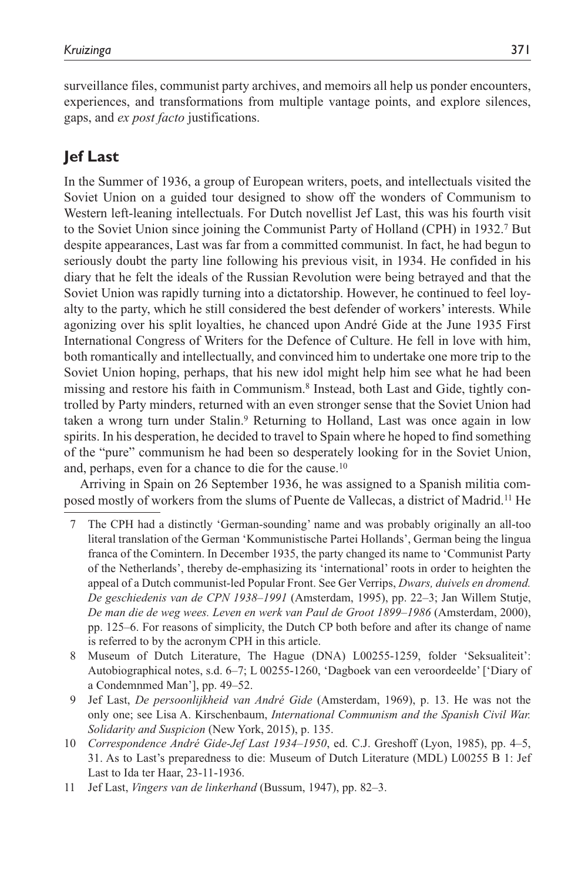surveillance files, communist party archives, and memoirs all help us ponder encounters, experiences, and transformations from multiple vantage points, and explore silences, gaps, and *ex post facto* justifications.

## **Jef Last**

In the Summer of 1936, a group of European writers, poets, and intellectuals visited the Soviet Union on a guided tour designed to show off the wonders of Communism to Western left-leaning intellectuals. For Dutch novellist Jef Last, this was his fourth visit to the Soviet Union since joining the Communist Party of Holland (CPH) in 1932.7 But despite appearances, Last was far from a committed communist. In fact, he had begun to seriously doubt the party line following his previous visit, in 1934. He confided in his diary that he felt the ideals of the Russian Revolution were being betrayed and that the Soviet Union was rapidly turning into a dictatorship. However, he continued to feel loyalty to the party, which he still considered the best defender of workers' interests. While agonizing over his split loyalties, he chanced upon André Gide at the June 1935 First International Congress of Writers for the Defence of Culture. He fell in love with him, both romantically and intellectually, and convinced him to undertake one more trip to the Soviet Union hoping, perhaps, that his new idol might help him see what he had been missing and restore his faith in Communism.8 Instead, both Last and Gide, tightly controlled by Party minders, returned with an even stronger sense that the Soviet Union had taken a wrong turn under Stalin.9 Returning to Holland, Last was once again in low spirits. In his desperation, he decided to travel to Spain where he hoped to find something of the "pure" communism he had been so desperately looking for in the Soviet Union, and, perhaps, even for a chance to die for the cause.10

Arriving in Spain on 26 September 1936, he was assigned to a Spanish militia composed mostly of workers from the slums of Puente de Vallecas, a district of Madrid.11 He

- 7 The CPH had a distinctly 'German-sounding' name and was probably originally an all-too literal translation of the German 'Kommunistische Partei Hollands', German being the lingua franca of the Comintern. In December 1935, the party changed its name to 'Communist Party of the Netherlands', thereby de-emphasizing its 'international' roots in order to heighten the appeal of a Dutch communist-led Popular Front. See Ger Verrips, *Dwars, duivels en dromend. De geschiedenis van de CPN 1938–1991* (Amsterdam, 1995), pp. 22–3; Jan Willem Stutje, *De man die de weg wees. Leven en werk van Paul de Groot 1899–1986* (Amsterdam, 2000), pp. 125–6. For reasons of simplicity, the Dutch CP both before and after its change of name is referred to by the acronym CPH in this article.
- 8 Museum of Dutch Literature, The Hague (DNA) L00255-1259, folder 'Seksualiteit': Autobiographical notes, s.d. 6–7; L 00255-1260, 'Dagboek van een veroordeelde' ['Diary of a Condemnmed Man'], pp. 49–52.
- 9 Jef Last, *De persoonlijkheid van André Gide* (Amsterdam, 1969), p. 13. He was not the only one; see Lisa A. Kirschenbaum, *International Communism and the Spanish Civil War. Solidarity and Suspicion* (New York, 2015), p. 135.
- 10 *Correspondence André Gide-Jef Last 1934–1950*, ed. C.J. Greshoff (Lyon, 1985), pp. 4–5, 31. As to Last's preparedness to die: Museum of Dutch Literature (MDL) L00255 B 1: Jef Last to Ida ter Haar, 23-11-1936.
- 11 Jef Last, *Vingers van de linkerhand* (Bussum, 1947), pp. 82–3.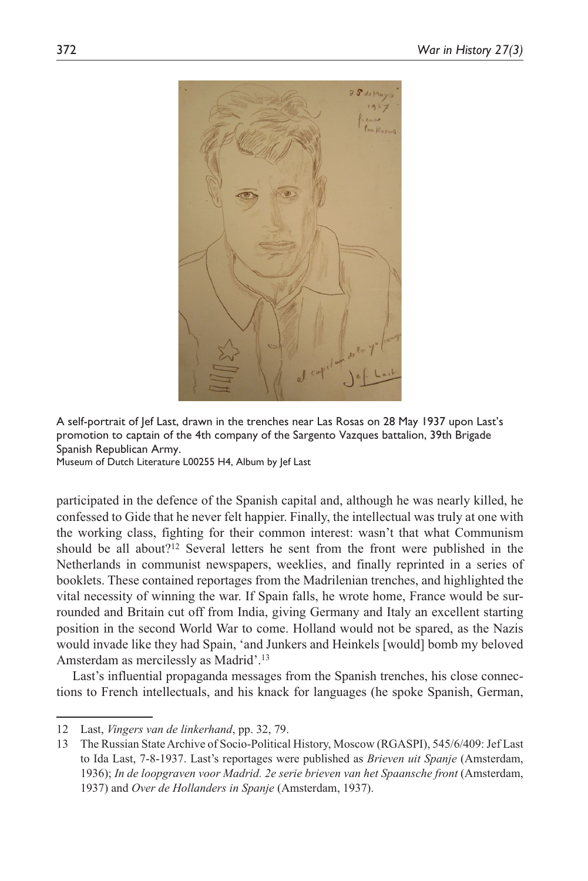

A self-portrait of Jef Last, drawn in the trenches near Las Rosas on 28 May 1937 upon Last's promotion to captain of the 4th company of the Sargento Vazques battalion, 39th Brigade Spanish Republican Army.

Museum of Dutch Literature L00255 H4, Album by Jef Last

participated in the defence of the Spanish capital and, although he was nearly killed, he confessed to Gide that he never felt happier. Finally, the intellectual was truly at one with the working class, fighting for their common interest: wasn't that what Communism should be all about?12 Several letters he sent from the front were published in the Netherlands in communist newspapers, weeklies, and finally reprinted in a series of booklets. These contained reportages from the Madrilenian trenches, and highlighted the vital necessity of winning the war. If Spain falls, he wrote home, France would be surrounded and Britain cut off from India, giving Germany and Italy an excellent starting position in the second World War to come. Holland would not be spared, as the Nazis would invade like they had Spain, 'and Junkers and Heinkels [would] bomb my beloved Amsterdam as mercilessly as Madrid'.13

Last's influential propaganda messages from the Spanish trenches, his close connections to French intellectuals, and his knack for languages (he spoke Spanish, German,

<sup>12</sup> Last, *Vingers van de linkerhand*, pp. 32, 79.

<sup>13</sup> The Russian State Archive of Socio-Political History, Moscow (RGASPI), 545/6/409: Jef Last to Ida Last, 7-8-1937. Last's reportages were published as *Brieven uit Spanje* (Amsterdam, 1936); *In de loopgraven voor Madrid. 2e serie brieven van het Spaansche front* (Amsterdam, 1937) and *Over de Hollanders in Spanje* (Amsterdam, 1937).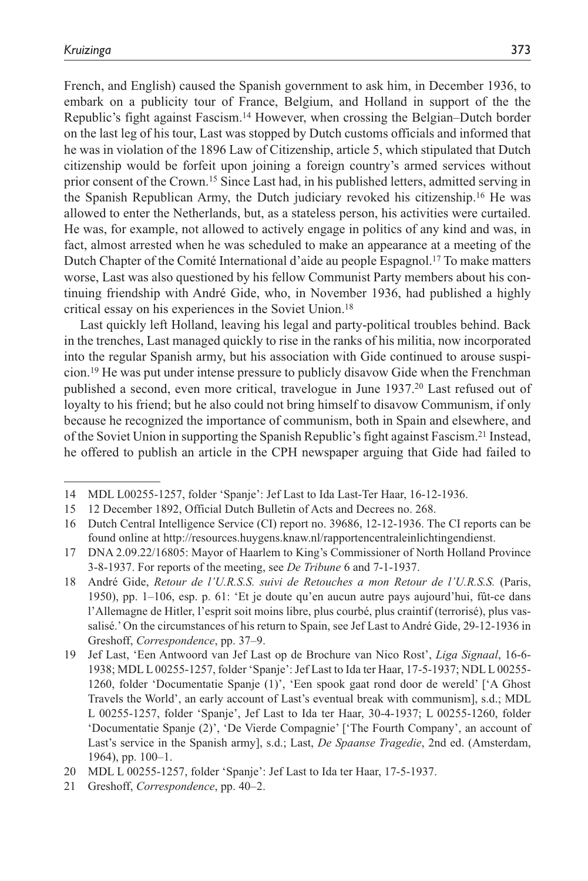French, and English) caused the Spanish government to ask him, in December 1936, to embark on a publicity tour of France, Belgium, and Holland in support of the the Republic's fight against Fascism.14 However, when crossing the Belgian–Dutch border on the last leg of his tour, Last was stopped by Dutch customs officials and informed that he was in violation of the 1896 Law of Citizenship, article 5, which stipulated that Dutch citizenship would be forfeit upon joining a foreign country's armed services without prior consent of the Crown.15 Since Last had, in his published letters, admitted serving in the Spanish Republican Army, the Dutch judiciary revoked his citizenship.16 He was allowed to enter the Netherlands, but, as a stateless person, his activities were curtailed. He was, for example, not allowed to actively engage in politics of any kind and was, in fact, almost arrested when he was scheduled to make an appearance at a meeting of the Dutch Chapter of the Comité International d'aide au people Espagnol.17 To make matters worse, Last was also questioned by his fellow Communist Party members about his continuing friendship with André Gide, who, in November 1936, had published a highly critical essay on his experiences in the Soviet Union.18

Last quickly left Holland, leaving his legal and party-political troubles behind. Back in the trenches, Last managed quickly to rise in the ranks of his militia, now incorporated into the regular Spanish army, but his association with Gide continued to arouse suspicion.19 He was put under intense pressure to publicly disavow Gide when the Frenchman published a second, even more critical, travelogue in June 1937.20 Last refused out of loyalty to his friend; but he also could not bring himself to disavow Communism, if only because he recognized the importance of communism, both in Spain and elsewhere, and of the Soviet Union in supporting the Spanish Republic's fight against Fascism.21 Instead, he offered to publish an article in the CPH newspaper arguing that Gide had failed to

<sup>14</sup> MDL L00255-1257, folder 'Spanje': Jef Last to Ida Last-Ter Haar, 16-12-1936.

<sup>15</sup> 12 December 1892, Official Dutch Bulletin of Acts and Decrees no. 268.

<sup>16</sup> Dutch Central Intelligence Service (CI) report no. 39686, 12-12-1936. The CI reports can be found online at http://resources.huygens.knaw.nl/rapportencentraleinlichtingendienst.

<sup>17</sup> DNA 2.09.22/16805: Mayor of Haarlem to King's Commissioner of North Holland Province 3-8-1937. For reports of the meeting, see *De Tribune* 6 and 7-1-1937.

<sup>18</sup> André Gide, *Retour de l'U.R.S.S. suivi de Retouches a mon Retour de l'U.R.S.S.* (Paris, 1950), pp. 1–106, esp. p. 61: 'Et je doute qu'en aucun autre pays aujourd'hui, fût-ce dans l'Allemagne de Hitler, l'esprit soit moins libre, plus courbé, plus craintif (terrorisé), plus vassalisé.' On the circumstances of his return to Spain, see Jef Last to André Gide, 29-12-1936 in Greshoff, *Correspondence*, pp. 37–9.

<sup>19</sup> Jef Last, 'Een Antwoord van Jef Last op de Brochure van Nico Rost', *Liga Signaal*, 16-6- 1938; MDL L 00255-1257, folder 'Spanje': Jef Last to Ida ter Haar, 17-5-1937; NDL L 00255- 1260, folder 'Documentatie Spanje (1)', 'Een spook gaat rond door de wereld' ['A Ghost Travels the World', an early account of Last's eventual break with communism], s.d.; MDL L 00255-1257, folder 'Spanje', Jef Last to Ida ter Haar, 30-4-1937; L 00255-1260, folder 'Documentatie Spanje (2)', 'De Vierde Compagnie' ['The Fourth Company', an account of Last's service in the Spanish army], s.d.; Last, *De Spaanse Tragedie*, 2nd ed. (Amsterdam, 1964), pp. 100–1.

<sup>20</sup> MDL L 00255-1257, folder 'Spanje': Jef Last to Ida ter Haar, 17-5-1937.

<sup>21</sup> Greshoff, *Correspondence*, pp. 40–2.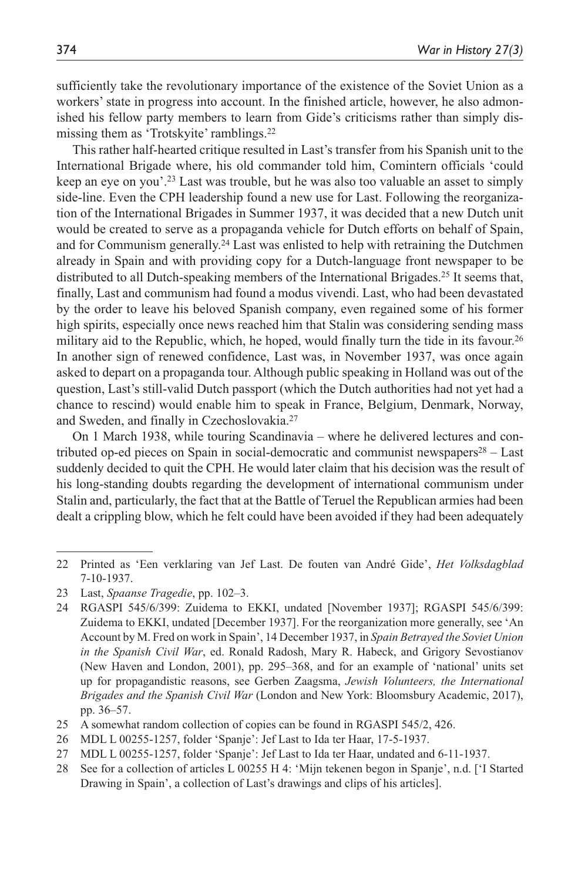sufficiently take the revolutionary importance of the existence of the Soviet Union as a workers' state in progress into account. In the finished article, however, he also admonished his fellow party members to learn from Gide's criticisms rather than simply dismissing them as 'Trotskyite' ramblings.22

This rather half-hearted critique resulted in Last's transfer from his Spanish unit to the International Brigade where, his old commander told him, Comintern officials 'could keep an eye on you'.23 Last was trouble, but he was also too valuable an asset to simply side-line. Even the CPH leadership found a new use for Last. Following the reorganization of the International Brigades in Summer 1937, it was decided that a new Dutch unit would be created to serve as a propaganda vehicle for Dutch efforts on behalf of Spain, and for Communism generally.24 Last was enlisted to help with retraining the Dutchmen already in Spain and with providing copy for a Dutch-language front newspaper to be distributed to all Dutch-speaking members of the International Brigades.<sup>25</sup> It seems that, finally, Last and communism had found a modus vivendi. Last, who had been devastated by the order to leave his beloved Spanish company, even regained some of his former high spirits, especially once news reached him that Stalin was considering sending mass military aid to the Republic, which, he hoped, would finally turn the tide in its favour.<sup>26</sup> In another sign of renewed confidence, Last was, in November 1937, was once again asked to depart on a propaganda tour. Although public speaking in Holland was out of the question, Last's still-valid Dutch passport (which the Dutch authorities had not yet had a chance to rescind) would enable him to speak in France, Belgium, Denmark, Norway, and Sweden, and finally in Czechoslovakia.27

On 1 March 1938, while touring Scandinavia – where he delivered lectures and contributed op-ed pieces on Spain in social-democratic and communist newspapers<sup>28</sup> – Last suddenly decided to quit the CPH. He would later claim that his decision was the result of his long-standing doubts regarding the development of international communism under Stalin and, particularly, the fact that at the Battle of Teruel the Republican armies had been dealt a crippling blow, which he felt could have been avoided if they had been adequately

- 25 A somewhat random collection of copies can be found in RGASPI 545/2, 426.
- 26 MDL L 00255-1257, folder 'Spanje': Jef Last to Ida ter Haar, 17-5-1937.
- 27 MDL L 00255-1257, folder 'Spanje': Jef Last to Ida ter Haar, undated and 6-11-1937.
- 28 See for a collection of articles L 00255 H 4: 'Mijn tekenen begon in Spanje', n.d. ['I Started Drawing in Spain', a collection of Last's drawings and clips of his articles].

<sup>22</sup> Printed as 'Een verklaring van Jef Last. De fouten van André Gide', *Het Volksdagblad* 7-10-1937.

<sup>23</sup> Last, *Spaanse Tragedie*, pp. 102–3.

<sup>24</sup> RGASPI 545/6/399: Zuidema to EKKI, undated [November 1937]; RGASPI 545/6/399: Zuidema to EKKI, undated [December 1937]. For the reorganization more generally, see 'An Account by M. Fred on work in Spain', 14 December 1937, in *Spain Betrayed the Soviet Union in the Spanish Civil War*, ed. Ronald Radosh, Mary R. Habeck, and Grigory Sevostianov (New Haven and London, 2001), pp. 295–368, and for an example of 'national' units set up for propagandistic reasons, see Gerben Zaagsma, *Jewish Volunteers, the International Brigades and the Spanish Civil War* (London and New York: Bloomsbury Academic, 2017), pp. 36–57.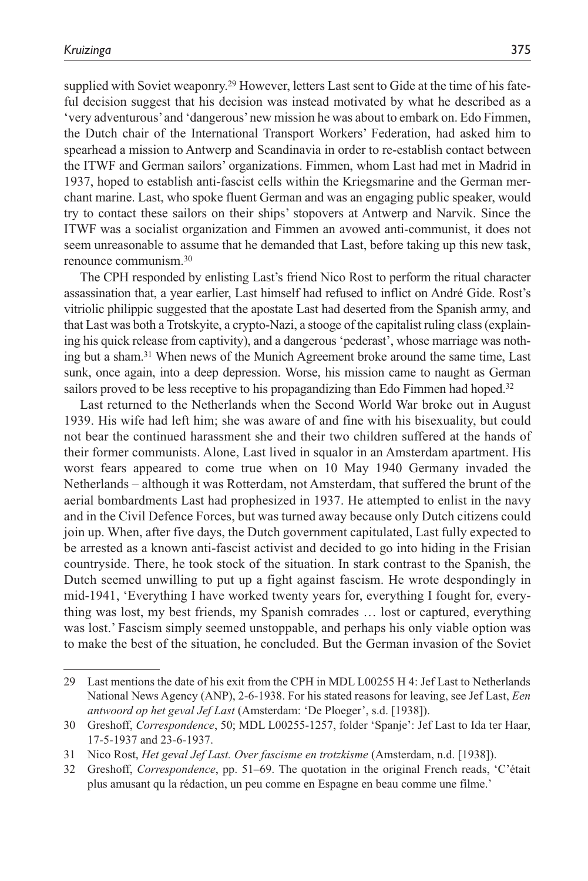supplied with Soviet weaponry.<sup>29</sup> However, letters Last sent to Gide at the time of his fateful decision suggest that his decision was instead motivated by what he described as a 'very adventurous' and 'dangerous' new mission he was about to embark on. Edo Fimmen, the Dutch chair of the International Transport Workers' Federation, had asked him to spearhead a mission to Antwerp and Scandinavia in order to re-establish contact between the ITWF and German sailors' organizations. Fimmen, whom Last had met in Madrid in 1937, hoped to establish anti-fascist cells within the Kriegsmarine and the German merchant marine. Last, who spoke fluent German and was an engaging public speaker, would try to contact these sailors on their ships' stopovers at Antwerp and Narvik. Since the ITWF was a socialist organization and Fimmen an avowed anti-communist, it does not seem unreasonable to assume that he demanded that Last, before taking up this new task, renounce communism.30

The CPH responded by enlisting Last's friend Nico Rost to perform the ritual character assassination that, a year earlier, Last himself had refused to inflict on André Gide. Rost's vitriolic philippic suggested that the apostate Last had deserted from the Spanish army, and that Last was both a Trotskyite, a crypto-Nazi, a stooge of the capitalist ruling class (explaining his quick release from captivity), and a dangerous 'pederast', whose marriage was nothing but a sham.31 When news of the Munich Agreement broke around the same time, Last sunk, once again, into a deep depression. Worse, his mission came to naught as German sailors proved to be less receptive to his propagandizing than Edo Fimmen had hoped.<sup>32</sup>

Last returned to the Netherlands when the Second World War broke out in August 1939. His wife had left him; she was aware of and fine with his bisexuality, but could not bear the continued harassment she and their two children suffered at the hands of their former communists. Alone, Last lived in squalor in an Amsterdam apartment. His worst fears appeared to come true when on 10 May 1940 Germany invaded the Netherlands – although it was Rotterdam, not Amsterdam, that suffered the brunt of the aerial bombardments Last had prophesized in 1937. He attempted to enlist in the navy and in the Civil Defence Forces, but was turned away because only Dutch citizens could join up. When, after five days, the Dutch government capitulated, Last fully expected to be arrested as a known anti-fascist activist and decided to go into hiding in the Frisian countryside. There, he took stock of the situation. In stark contrast to the Spanish, the Dutch seemed unwilling to put up a fight against fascism. He wrote despondingly in mid-1941, 'Everything I have worked twenty years for, everything I fought for, everything was lost, my best friends, my Spanish comrades … lost or captured, everything was lost.' Fascism simply seemed unstoppable, and perhaps his only viable option was to make the best of the situation, he concluded. But the German invasion of the Soviet

<sup>29</sup> Last mentions the date of his exit from the CPH in MDL L00255 H 4: Jef Last to Netherlands National News Agency (ANP), 2-6-1938. For his stated reasons for leaving, see Jef Last, *Een antwoord op het geval Jef Last* (Amsterdam: 'De Ploeger', s.d. [1938]).

<sup>30</sup> Greshoff, *Correspondence*, 50; MDL L00255-1257, folder 'Spanje': Jef Last to Ida ter Haar, 17-5-1937 and 23-6-1937.

<sup>31</sup> Nico Rost, *Het geval Jef Last. Over fascisme en trotzkisme* (Amsterdam, n.d. [1938]).

<sup>32</sup> Greshoff, *Correspondence*, pp. 51–69. The quotation in the original French reads, 'C'était plus amusant qu la rédaction, un peu comme en Espagne en beau comme une filme.'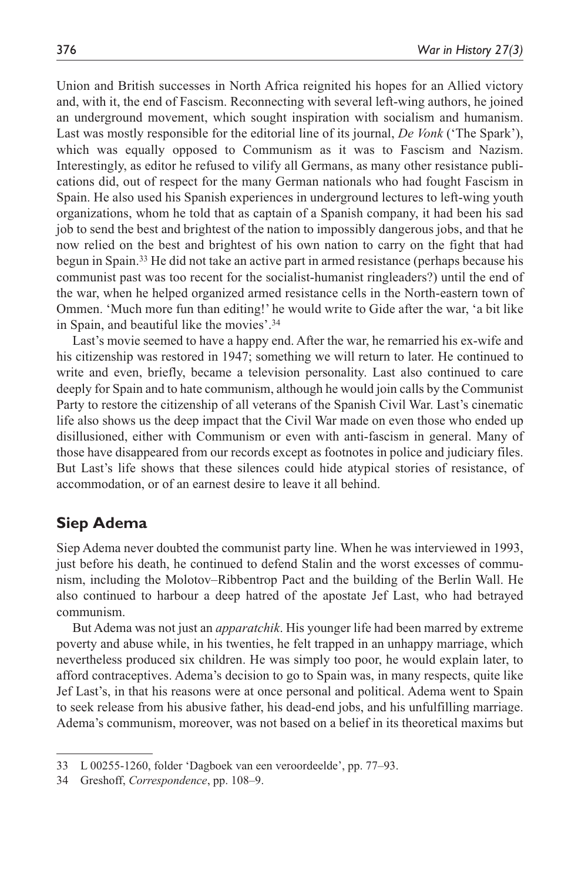Union and British successes in North Africa reignited his hopes for an Allied victory and, with it, the end of Fascism. Reconnecting with several left-wing authors, he joined an underground movement, which sought inspiration with socialism and humanism. Last was mostly responsible for the editorial line of its journal, *De Vonk* ('The Spark'), which was equally opposed to Communism as it was to Fascism and Nazism. Interestingly, as editor he refused to vilify all Germans, as many other resistance publications did, out of respect for the many German nationals who had fought Fascism in Spain. He also used his Spanish experiences in underground lectures to left-wing youth organizations, whom he told that as captain of a Spanish company, it had been his sad job to send the best and brightest of the nation to impossibly dangerous jobs, and that he now relied on the best and brightest of his own nation to carry on the fight that had begun in Spain.33 He did not take an active part in armed resistance (perhaps because his communist past was too recent for the socialist-humanist ringleaders?) until the end of the war, when he helped organized armed resistance cells in the North-eastern town of Ommen. 'Much more fun than editing!' he would write to Gide after the war, 'a bit like in Spain, and beautiful like the movies'.34

Last's movie seemed to have a happy end. After the war, he remarried his ex-wife and his citizenship was restored in 1947; something we will return to later. He continued to write and even, briefly, became a television personality. Last also continued to care deeply for Spain and to hate communism, although he would join calls by the Communist Party to restore the citizenship of all veterans of the Spanish Civil War. Last's cinematic life also shows us the deep impact that the Civil War made on even those who ended up disillusioned, either with Communism or even with anti-fascism in general. Many of those have disappeared from our records except as footnotes in police and judiciary files. But Last's life shows that these silences could hide atypical stories of resistance, of accommodation, or of an earnest desire to leave it all behind.

### **Siep Adema**

Siep Adema never doubted the communist party line. When he was interviewed in 1993, just before his death, he continued to defend Stalin and the worst excesses of communism, including the Molotov–Ribbentrop Pact and the building of the Berlin Wall. He also continued to harbour a deep hatred of the apostate Jef Last, who had betrayed communism.

But Adema was not just an *apparatchik*. His younger life had been marred by extreme poverty and abuse while, in his twenties, he felt trapped in an unhappy marriage, which nevertheless produced six children. He was simply too poor, he would explain later, to afford contraceptives. Adema's decision to go to Spain was, in many respects, quite like Jef Last's, in that his reasons were at once personal and political. Adema went to Spain to seek release from his abusive father, his dead-end jobs, and his unfulfilling marriage. Adema's communism, moreover, was not based on a belief in its theoretical maxims but

<sup>33</sup> L 00255-1260, folder 'Dagboek van een veroordeelde', pp. 77–93.

<sup>34</sup> Greshoff, *Correspondence*, pp. 108–9.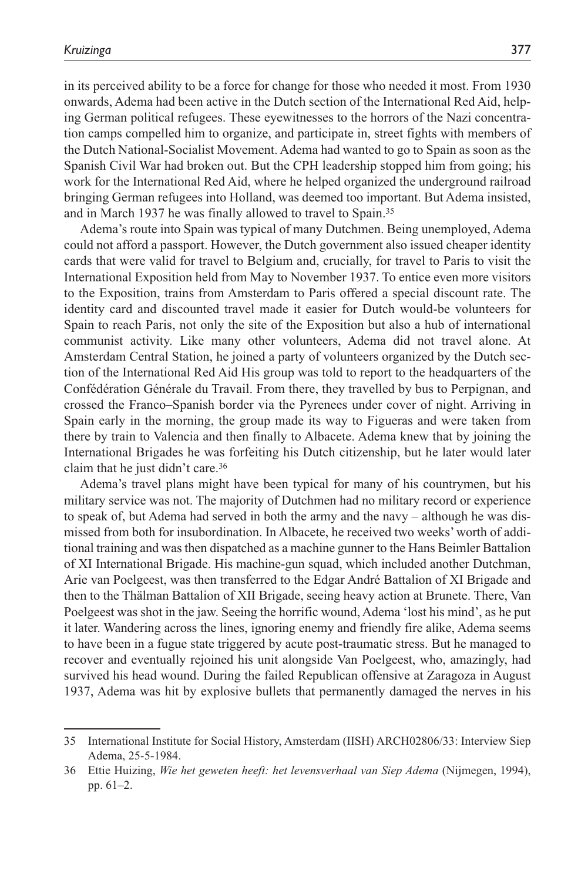in its perceived ability to be a force for change for those who needed it most. From 1930 onwards, Adema had been active in the Dutch section of the International Red Aid, helping German political refugees. These eyewitnesses to the horrors of the Nazi concentration camps compelled him to organize, and participate in, street fights with members of the Dutch National-Socialist Movement. Adema had wanted to go to Spain as soon as the Spanish Civil War had broken out. But the CPH leadership stopped him from going; his work for the International Red Aid, where he helped organized the underground railroad bringing German refugees into Holland, was deemed too important. But Adema insisted, and in March 1937 he was finally allowed to travel to Spain.35

Adema's route into Spain was typical of many Dutchmen. Being unemployed, Adema could not afford a passport. However, the Dutch government also issued cheaper identity cards that were valid for travel to Belgium and, crucially, for travel to Paris to visit the International Exposition held from May to November 1937. To entice even more visitors to the Exposition, trains from Amsterdam to Paris offered a special discount rate. The identity card and discounted travel made it easier for Dutch would-be volunteers for Spain to reach Paris, not only the site of the Exposition but also a hub of international communist activity. Like many other volunteers, Adema did not travel alone. At Amsterdam Central Station, he joined a party of volunteers organized by the Dutch section of the International Red Aid His group was told to report to the headquarters of the Confédération Générale du Travail. From there, they travelled by bus to Perpignan, and crossed the Franco–Spanish border via the Pyrenees under cover of night. Arriving in Spain early in the morning, the group made its way to Figueras and were taken from there by train to Valencia and then finally to Albacete. Adema knew that by joining the International Brigades he was forfeiting his Dutch citizenship, but he later would later claim that he just didn't care.36

Adema's travel plans might have been typical for many of his countrymen, but his military service was not. The majority of Dutchmen had no military record or experience to speak of, but Adema had served in both the army and the navy – although he was dismissed from both for insubordination. In Albacete, he received two weeks' worth of additional training and was then dispatched as a machine gunner to the Hans Beimler Battalion of XI International Brigade. His machine-gun squad, which included another Dutchman, Arie van Poelgeest, was then transferred to the Edgar André Battalion of XI Brigade and then to the Thälman Battalion of XII Brigade, seeing heavy action at Brunete. There, Van Poelgeest was shot in the jaw. Seeing the horrific wound, Adema 'lost his mind', as he put it later. Wandering across the lines, ignoring enemy and friendly fire alike, Adema seems to have been in a fugue state triggered by acute post-traumatic stress. But he managed to recover and eventually rejoined his unit alongside Van Poelgeest, who, amazingly, had survived his head wound. During the failed Republican offensive at Zaragoza in August 1937, Adema was hit by explosive bullets that permanently damaged the nerves in his

<sup>35</sup> International Institute for Social History, Amsterdam (IISH) ARCH02806/33: Interview Siep Adema, 25-5-1984.

<sup>36</sup> Ettie Huizing, *Wie het geweten heeft: het levensverhaal van Siep Adema* (Nijmegen, 1994), pp. 61–2.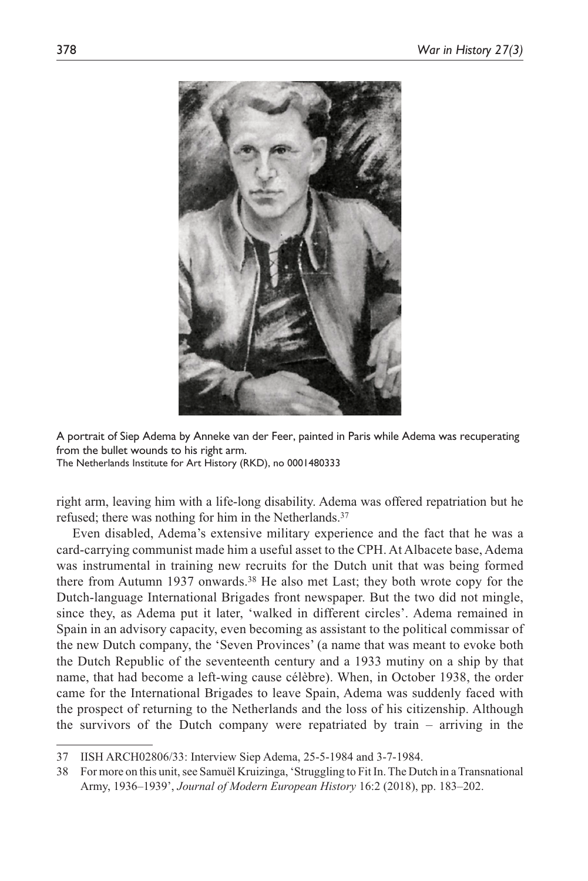

A portrait of Siep Adema by Anneke van der Feer, painted in Paris while Adema was recuperating from the bullet wounds to his right arm.

The Netherlands Institute for Art History (RKD), no 0001480333

right arm, leaving him with a life-long disability. Adema was offered repatriation but he refused; there was nothing for him in the Netherlands.37

Even disabled, Adema's extensive military experience and the fact that he was a card-carrying communist made him a useful asset to the CPH. At Albacete base, Adema was instrumental in training new recruits for the Dutch unit that was being formed there from Autumn 1937 onwards.38 He also met Last; they both wrote copy for the Dutch-language International Brigades front newspaper. But the two did not mingle, since they, as Adema put it later, 'walked in different circles'. Adema remained in Spain in an advisory capacity, even becoming as assistant to the political commissar of the new Dutch company, the 'Seven Provinces' (a name that was meant to evoke both the Dutch Republic of the seventeenth century and a 1933 mutiny on a ship by that name, that had become a left-wing cause célèbre). When, in October 1938, the order came for the International Brigades to leave Spain, Adema was suddenly faced with the prospect of returning to the Netherlands and the loss of his citizenship. Although the survivors of the Dutch company were repatriated by train – arriving in the

<sup>37</sup> IISH ARCH02806/33: Interview Siep Adema, 25-5-1984 and 3-7-1984.

<sup>38</sup> For more on this unit, see Samuël Kruizinga, 'Struggling to Fit In. The Dutch in a Transnational Army, 1936–1939', *Journal of Modern European History* 16:2 (2018), pp. 183–202.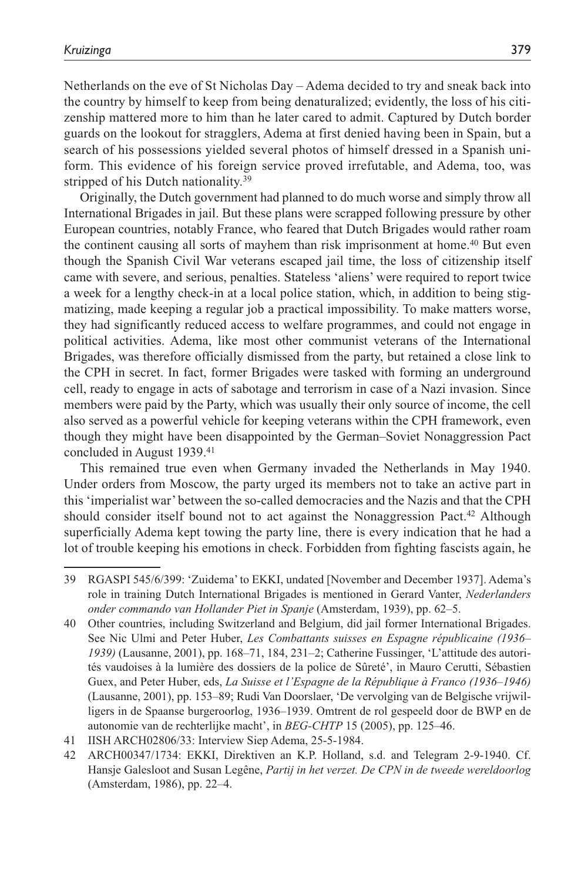Netherlands on the eve of St Nicholas Day – Adema decided to try and sneak back into the country by himself to keep from being denaturalized; evidently, the loss of his citizenship mattered more to him than he later cared to admit. Captured by Dutch border guards on the lookout for stragglers, Adema at first denied having been in Spain, but a search of his possessions yielded several photos of himself dressed in a Spanish uniform. This evidence of his foreign service proved irrefutable, and Adema, too, was stripped of his Dutch nationality.<sup>39</sup>

Originally, the Dutch government had planned to do much worse and simply throw all International Brigades in jail. But these plans were scrapped following pressure by other European countries, notably France, who feared that Dutch Brigades would rather roam the continent causing all sorts of mayhem than risk imprisonment at home.40 But even though the Spanish Civil War veterans escaped jail time, the loss of citizenship itself came with severe, and serious, penalties. Stateless 'aliens' were required to report twice a week for a lengthy check-in at a local police station, which, in addition to being stigmatizing, made keeping a regular job a practical impossibility. To make matters worse, they had significantly reduced access to welfare programmes, and could not engage in political activities. Adema, like most other communist veterans of the International Brigades, was therefore officially dismissed from the party, but retained a close link to the CPH in secret. In fact, former Brigades were tasked with forming an underground cell, ready to engage in acts of sabotage and terrorism in case of a Nazi invasion. Since members were paid by the Party, which was usually their only source of income, the cell also served as a powerful vehicle for keeping veterans within the CPH framework, even though they might have been disappointed by the German–Soviet Nonaggression Pact concluded in August 1939.41

This remained true even when Germany invaded the Netherlands in May 1940. Under orders from Moscow, the party urged its members not to take an active part in this 'imperialist war' between the so-called democracies and the Nazis and that the CPH should consider itself bound not to act against the Nonaggression Pact.42 Although superficially Adema kept towing the party line, there is every indication that he had a lot of trouble keeping his emotions in check. Forbidden from fighting fascists again, he

<sup>39</sup> RGASPI 545/6/399: 'Zuidema' to EKKI, undated [November and December 1937]. Adema's role in training Dutch International Brigades is mentioned in Gerard Vanter, *Nederlanders onder commando van Hollander Piet in Spanje* (Amsterdam, 1939), pp. 62–5.

<sup>40</sup> Other countries, including Switzerland and Belgium, did jail former International Brigades. See Nic Ulmi and Peter Huber, *Les Combattants suisses en Espagne républicaine (1936– 1939)* (Lausanne, 2001), pp. 168–71, 184, 231–2; Catherine Fussinger, 'L'attitude des autorités vaudoises à la lumière des dossiers de la police de Sûreté', in Mauro Cerutti, Sébastien Guex, and Peter Huber, eds, *La Suisse et l'Espagne de la République à Franco (1936–1946)* (Lausanne, 2001), pp. 153–89; Rudi Van Doorslaer, 'De vervolging van de Belgische vrijwilligers in de Spaanse burgeroorlog, 1936–1939. Omtrent de rol gespeeld door de BWP en de autonomie van de rechterlijke macht', in *BEG-CHTP* 15 (2005), pp. 125–46.

<sup>41</sup> IISH ARCH02806/33: Interview Siep Adema, 25-5-1984.

<sup>42</sup> ARCH00347/1734: EKKI, Direktiven an K.P. Holland, s.d. and Telegram 2-9-1940. Cf. Hansje Galesloot and Susan Legêne, *Partij in het verzet. De CPN in de tweede wereldoorlog* (Amsterdam, 1986), pp. 22–4.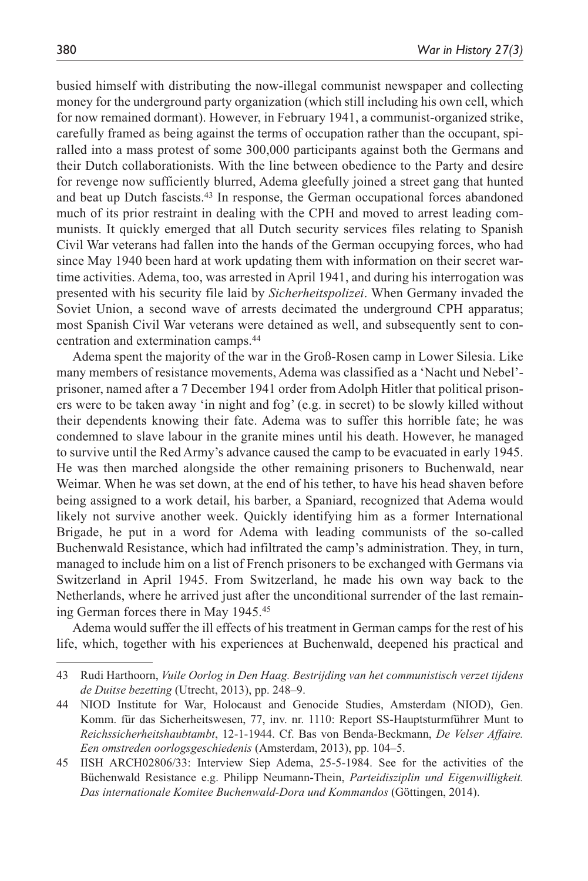busied himself with distributing the now-illegal communist newspaper and collecting money for the underground party organization (which still including his own cell, which for now remained dormant). However, in February 1941, a communist-organized strike, carefully framed as being against the terms of occupation rather than the occupant, spiralled into a mass protest of some 300,000 participants against both the Germans and their Dutch collaborationists. With the line between obedience to the Party and desire for revenge now sufficiently blurred, Adema gleefully joined a street gang that hunted and beat up Dutch fascists.43 In response, the German occupational forces abandoned much of its prior restraint in dealing with the CPH and moved to arrest leading communists. It quickly emerged that all Dutch security services files relating to Spanish Civil War veterans had fallen into the hands of the German occupying forces, who had since May 1940 been hard at work updating them with information on their secret wartime activities. Adema, too, was arrested in April 1941, and during his interrogation was presented with his security file laid by *Sicherheitspolizei*. When Germany invaded the Soviet Union, a second wave of arrests decimated the underground CPH apparatus; most Spanish Civil War veterans were detained as well, and subsequently sent to concentration and extermination camps.44

Adema spent the majority of the war in the Groß-Rosen camp in Lower Silesia. Like many members of resistance movements, Adema was classified as a 'Nacht und Nebel' prisoner, named after a 7 December 1941 order from Adolph Hitler that political prisoners were to be taken away 'in night and fog' (e.g. in secret) to be slowly killed without their dependents knowing their fate. Adema was to suffer this horrible fate; he was condemned to slave labour in the granite mines until his death. However, he managed to survive until the Red Army's advance caused the camp to be evacuated in early 1945. He was then marched alongside the other remaining prisoners to Buchenwald, near Weimar. When he was set down, at the end of his tether, to have his head shaven before being assigned to a work detail, his barber, a Spaniard, recognized that Adema would likely not survive another week. Quickly identifying him as a former International Brigade, he put in a word for Adema with leading communists of the so-called Buchenwald Resistance, which had infiltrated the camp's administration. They, in turn, managed to include him on a list of French prisoners to be exchanged with Germans via Switzerland in April 1945. From Switzerland, he made his own way back to the Netherlands, where he arrived just after the unconditional surrender of the last remaining German forces there in May 1945.45

Adema would suffer the ill effects of his treatment in German camps for the rest of his life, which, together with his experiences at Buchenwald, deepened his practical and

<sup>43</sup> Rudi Harthoorn, *Vuile Oorlog in Den Haag. Bestrijding van het communistisch verzet tijdens de Duitse bezetting* (Utrecht, 2013), pp. 248–9.

<sup>44</sup> NIOD Institute for War, Holocaust and Genocide Studies, Amsterdam (NIOD), Gen. Komm. für das Sicherheitswesen, 77, inv. nr. 1110: Report SS-Hauptsturmführer Munt to *Reichssicherheitshaubtambt*, 12-1-1944. Cf. Bas von Benda-Beckmann, *De Velser Affaire. Een omstreden oorlogsgeschiedenis* (Amsterdam, 2013), pp. 104–5.

<sup>45</sup> IISH ARCH02806/33: Interview Siep Adema, 25-5-1984. See for the activities of the Büchenwald Resistance e.g. Philipp Neumann-Thein, *Parteidisziplin und Eigenwilligkeit. Das internationale Komitee Buchenwald-Dora und Kommandos* (Göttingen, 2014).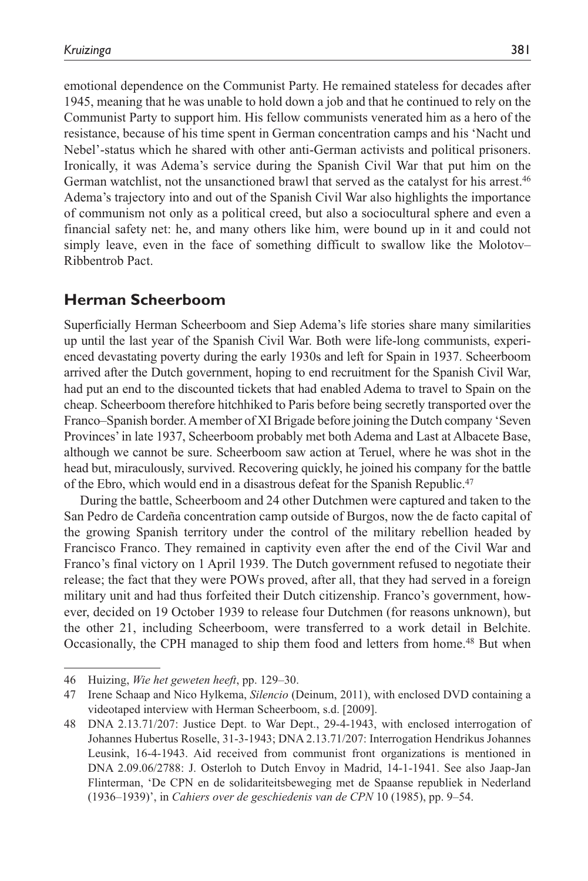emotional dependence on the Communist Party. He remained stateless for decades after 1945, meaning that he was unable to hold down a job and that he continued to rely on the Communist Party to support him. His fellow communists venerated him as a hero of the resistance, because of his time spent in German concentration camps and his 'Nacht und Nebel'-status which he shared with other anti-German activists and political prisoners. Ironically, it was Adema's service during the Spanish Civil War that put him on the German watchlist, not the unsanctioned brawl that served as the catalyst for his arrest.46 Adema's trajectory into and out of the Spanish Civil War also highlights the importance of communism not only as a political creed, but also a sociocultural sphere and even a financial safety net: he, and many others like him, were bound up in it and could not simply leave, even in the face of something difficult to swallow like the Molotov– Ribbentrob Pact.

## **Herman Scheerboom**

Superficially Herman Scheerboom and Siep Adema's life stories share many similarities up until the last year of the Spanish Civil War. Both were life-long communists, experienced devastating poverty during the early 1930s and left for Spain in 1937. Scheerboom arrived after the Dutch government, hoping to end recruitment for the Spanish Civil War, had put an end to the discounted tickets that had enabled Adema to travel to Spain on the cheap. Scheerboom therefore hitchhiked to Paris before being secretly transported over the Franco–Spanish border. A member of XI Brigade before joining the Dutch company 'Seven Provinces' in late 1937, Scheerboom probably met both Adema and Last at Albacete Base, although we cannot be sure. Scheerboom saw action at Teruel, where he was shot in the head but, miraculously, survived. Recovering quickly, he joined his company for the battle of the Ebro, which would end in a disastrous defeat for the Spanish Republic.47

During the battle, Scheerboom and 24 other Dutchmen were captured and taken to the San Pedro de Cardeña concentration camp outside of Burgos, now the de facto capital of the growing Spanish territory under the control of the military rebellion headed by Francisco Franco. They remained in captivity even after the end of the Civil War and Franco's final victory on 1 April 1939. The Dutch government refused to negotiate their release; the fact that they were POWs proved, after all, that they had served in a foreign military unit and had thus forfeited their Dutch citizenship. Franco's government, however, decided on 19 October 1939 to release four Dutchmen (for reasons unknown), but the other 21, including Scheerboom, were transferred to a work detail in Belchite. Occasionally, the CPH managed to ship them food and letters from home.48 But when

<sup>46</sup> Huizing, *Wie het geweten heeft*, pp. 129–30.

<sup>47</sup> Irene Schaap and Nico Hylkema, *Silencio* (Deinum, 2011), with enclosed DVD containing a videotaped interview with Herman Scheerboom, s.d. [2009].

<sup>48</sup> DNA 2.13.71/207: Justice Dept. to War Dept., 29-4-1943, with enclosed interrogation of Johannes Hubertus Roselle, 31-3-1943; DNA 2.13.71/207: Interrogation Hendrikus Johannes Leusink, 16-4-1943. Aid received from communist front organizations is mentioned in DNA 2.09.06/2788: J. Osterloh to Dutch Envoy in Madrid, 14-1-1941. See also Jaap-Jan Flinterman, 'De CPN en de solidariteitsbeweging met de Spaanse republiek in Nederland (1936–1939)', in *Cahiers over de geschiedenis van de CPN* 10 (1985), pp. 9–54.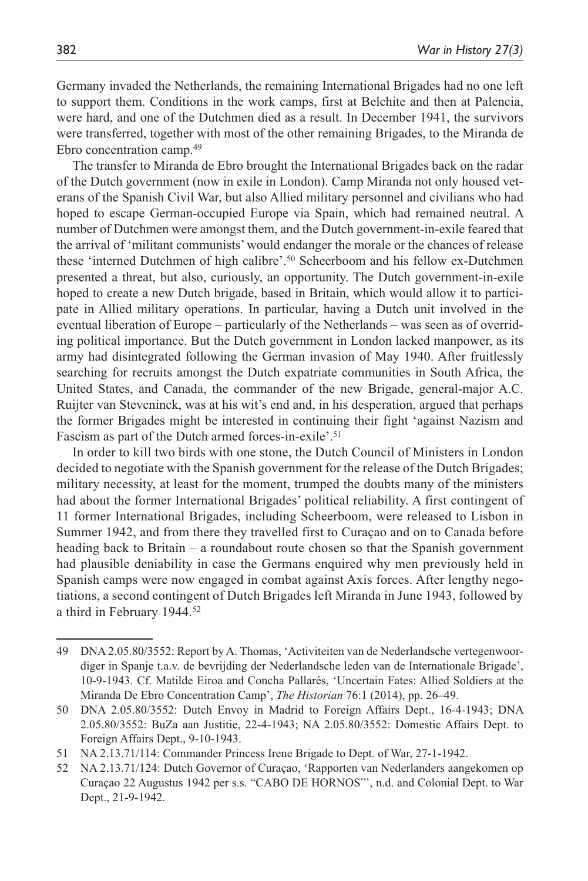Germany invaded the Netherlands, the remaining International Brigades had no one left to support them. Conditions in the work camps, first at Belchite and then at Palencia, were hard, and one of the Dutchmen died as a result. In December 1941, the survivors were transferred, together with most of the other remaining Brigades, to the Miranda de Ebro concentration camp.49

The transfer to Miranda de Ebro brought the International Brigades back on the radar of the Dutch government (now in exile in London). Camp Miranda not only housed veterans of the Spanish Civil War, but also Allied military personnel and civilians who had hoped to escape German-occupied Europe via Spain, which had remained neutral. A number of Dutchmen were amongst them, and the Dutch government-in-exile feared that the arrival of 'militant communists' would endanger the morale or the chances of release these 'interned Dutchmen of high calibre'.50 Scheerboom and his fellow ex-Dutchmen presented a threat, but also, curiously, an opportunity. The Dutch government-in-exile hoped to create a new Dutch brigade, based in Britain, which would allow it to participate in Allied military operations. In particular, having a Dutch unit involved in the eventual liberation of Europe – particularly of the Netherlands – was seen as of overriding political importance. But the Dutch government in London lacked manpower, as its army had disintegrated following the German invasion of May 1940. After fruitlessly searching for recruits amongst the Dutch expatriate communities in South Africa, the United States, and Canada, the commander of the new Brigade, general-major A.C. Ruijter van Steveninck, was at his wit's end and, in his desperation, argued that perhaps the former Brigades might be interested in continuing their fight 'against Nazism and Fascism as part of the Dutch armed forces-in-exile'.51

In order to kill two birds with one stone, the Dutch Council of Ministers in London decided to negotiate with the Spanish government for the release of the Dutch Brigades; military necessity, at least for the moment, trumped the doubts many of the ministers had about the former International Brigades' political reliability. A first contingent of 11 former International Brigades, including Scheerboom, were released to Lisbon in Summer 1942, and from there they travelled first to Curaçao and on to Canada before heading back to Britain – a roundabout route chosen so that the Spanish government had plausible deniability in case the Germans enquired why men previously held in Spanish camps were now engaged in combat against Axis forces. After lengthy negotiations, a second contingent of Dutch Brigades left Miranda in June 1943, followed by a third in February 1944.52

<sup>49</sup> DNA 2.05.80/3552: Report by A. Thomas, 'Activiteiten van de Nederlandsche vertegenwoordiger in Spanje t.a.v. de bevrijding der Nederlandsche leden van de Internationale Brigade', 10-9-1943. Cf. Matilde Eiroa and Concha Pallarés, 'Uncertain Fates: Allied Soldiers at the Miranda De Ebro Concentration Camp', *The Historian* 76:1 (2014), pp. 26–49.

<sup>50</sup> DNA 2.05.80/3552: Dutch Envoy in Madrid to Foreign Affairs Dept., 16-4-1943; DNA 2.05.80/3552: BuZa aan Justitie, 22-4-1943; NA 2.05.80/3552: Domestic Affairs Dept. to Foreign Affairs Dept., 9-10-1943.

<sup>51</sup> NA 2.13.71/114: Commander Princess Irene Brigade to Dept. of War, 27-1-1942.

<sup>52</sup> NA 2.13.71/124: Dutch Governor of Curaçao, 'Rapporten van Nederlanders aangekomen op Curaçao 22 Augustus 1942 per s.s. "CABO DE HORNOS"', n.d. and Colonial Dept. to War Dept., 21-9-1942.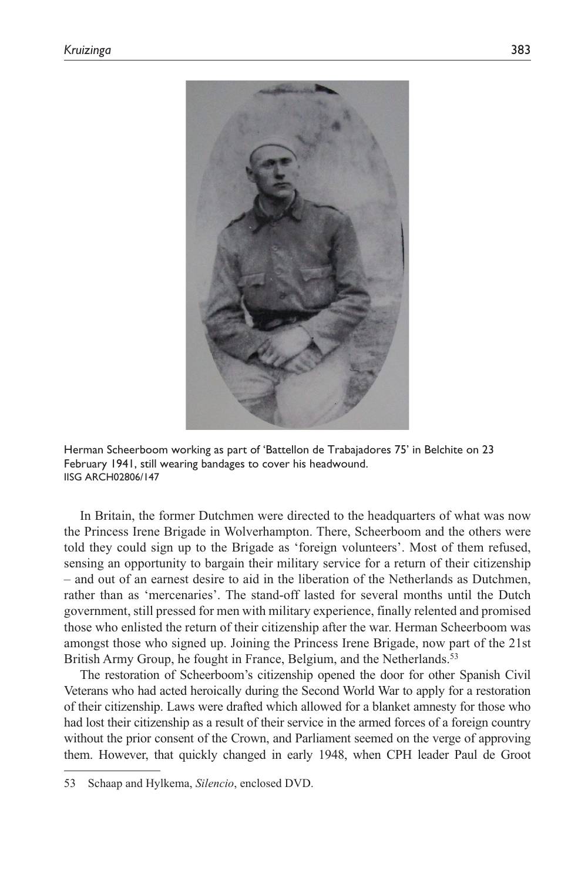

Herman Scheerboom working as part of 'Battellon de Trabajadores 75' in Belchite on 23 February 1941, still wearing bandages to cover his headwound. IISG ARCH02806/147

In Britain, the former Dutchmen were directed to the headquarters of what was now the Princess Irene Brigade in Wolverhampton. There, Scheerboom and the others were told they could sign up to the Brigade as 'foreign volunteers'. Most of them refused, sensing an opportunity to bargain their military service for a return of their citizenship – and out of an earnest desire to aid in the liberation of the Netherlands as Dutchmen, rather than as 'mercenaries'. The stand-off lasted for several months until the Dutch government, still pressed for men with military experience, finally relented and promised those who enlisted the return of their citizenship after the war. Herman Scheerboom was amongst those who signed up. Joining the Princess Irene Brigade, now part of the 21st British Army Group, he fought in France, Belgium, and the Netherlands.<sup>53</sup>

The restoration of Scheerboom's citizenship opened the door for other Spanish Civil Veterans who had acted heroically during the Second World War to apply for a restoration of their citizenship. Laws were drafted which allowed for a blanket amnesty for those who had lost their citizenship as a result of their service in the armed forces of a foreign country without the prior consent of the Crown, and Parliament seemed on the verge of approving them. However, that quickly changed in early 1948, when CPH leader Paul de Groot

<sup>53</sup> Schaap and Hylkema, *Silencio*, enclosed DVD.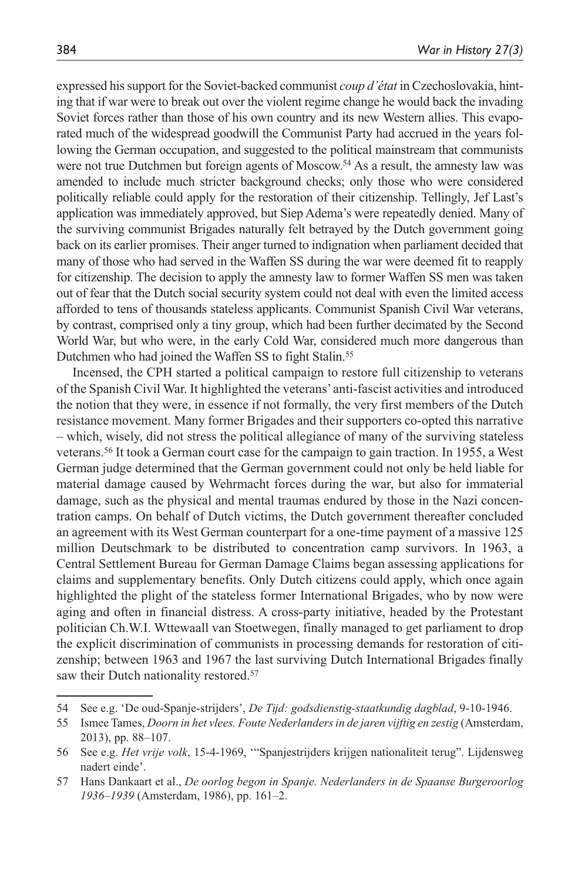expressed his support for the Soviet-backed communist *coup d'état* in Czechoslovakia, hinting that if war were to break out over the violent regime change he would back the invading Soviet forces rather than those of his own country and its new Western allies. This evaporated much of the widespread goodwill the Communist Party had accrued in the years following the German occupation, and suggested to the political mainstream that communists were not true Dutchmen but foreign agents of Moscow.<sup>54</sup> As a result, the amnesty law was amended to include much stricter background checks; only those who were considered politically reliable could apply for the restoration of their citizenship. Tellingly, Jef Last's application was immediately approved, but Siep Adema's were repeatedly denied. Many of the surviving communist Brigades naturally felt betrayed by the Dutch government going back on its earlier promises. Their anger turned to indignation when parliament decided that many of those who had served in the Waffen SS during the war were deemed fit to reapply for citizenship. The decision to apply the amnesty law to former Waffen SS men was taken out of fear that the Dutch social security system could not deal with even the limited access afforded to tens of thousands stateless applicants. Communist Spanish Civil War veterans, by contrast, comprised only a tiny group, which had been further decimated by the Second World War, but who were, in the early Cold War, considered much more dangerous than Dutchmen who had joined the Waffen SS to fight Stalin.<sup>55</sup>

Incensed, the CPH started a political campaign to restore full citizenship to veterans of the Spanish Civil War. It highlighted the veterans' anti-fascist activities and introduced the notion that they were, in essence if not formally, the very first members of the Dutch resistance movement. Many former Brigades and their supporters co-opted this narrative – which, wisely, did not stress the political allegiance of many of the surviving stateless veterans.56 It took a German court case for the campaign to gain traction. In 1955, a West German judge determined that the German government could not only be held liable for material damage caused by Wehrmacht forces during the war, but also for immaterial damage, such as the physical and mental traumas endured by those in the Nazi concentration camps. On behalf of Dutch victims, the Dutch government thereafter concluded an agreement with its West German counterpart for a one-time payment of a massive 125 million Deutschmark to be distributed to concentration camp survivors. In 1963, a Central Settlement Bureau for German Damage Claims began assessing applications for claims and supplementary benefits. Only Dutch citizens could apply, which once again highlighted the plight of the stateless former International Brigades, who by now were aging and often in financial distress. A cross-party initiative, headed by the Protestant politician Ch.W.I. Wttewaall van Stoetwegen, finally managed to get parliament to drop the explicit discrimination of communists in processing demands for restoration of citizenship; between 1963 and 1967 the last surviving Dutch International Brigades finally saw their Dutch nationality restored.<sup>57</sup>

<sup>54</sup> See e.g. 'De oud-Spanje-strijders', *De Tijd: godsdienstig-staatkundig dagblad*, 9-10-1946.

<sup>55</sup> Ismee Tames, *Doorn in het vlees. Foute Nederlanders in de jaren vijftig en zestig* (Amsterdam, 2013), pp. 88–107.

<sup>56</sup> See e.g. *Het vrije volk*, 15-4-1969, '"Spanjestrijders krijgen nationaliteit terug". Lijdensweg nadert einde'.

<sup>57</sup> Hans Dankaart et al., *De oorlog begon in Spanje. Nederlanders in de Spaanse Burgeroorlog 1936–1939* (Amsterdam, 1986), pp. 161–2.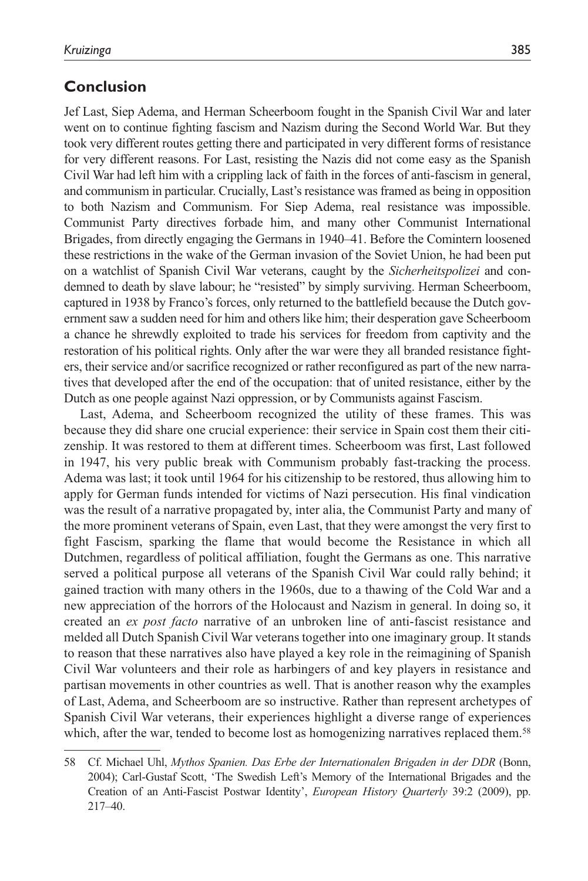## **Conclusion**

Jef Last, Siep Adema, and Herman Scheerboom fought in the Spanish Civil War and later went on to continue fighting fascism and Nazism during the Second World War. But they took very different routes getting there and participated in very different forms of resistance for very different reasons. For Last, resisting the Nazis did not come easy as the Spanish Civil War had left him with a crippling lack of faith in the forces of anti-fascism in general, and communism in particular. Crucially, Last's resistance was framed as being in opposition to both Nazism and Communism. For Siep Adema, real resistance was impossible. Communist Party directives forbade him, and many other Communist International Brigades, from directly engaging the Germans in 1940–41. Before the Comintern loosened these restrictions in the wake of the German invasion of the Soviet Union, he had been put on a watchlist of Spanish Civil War veterans, caught by the *Sicherheitspolizei* and condemned to death by slave labour; he "resisted" by simply surviving. Herman Scheerboom, captured in 1938 by Franco's forces, only returned to the battlefield because the Dutch government saw a sudden need for him and others like him; their desperation gave Scheerboom a chance he shrewdly exploited to trade his services for freedom from captivity and the restoration of his political rights. Only after the war were they all branded resistance fighters, their service and/or sacrifice recognized or rather reconfigured as part of the new narratives that developed after the end of the occupation: that of united resistance, either by the Dutch as one people against Nazi oppression, or by Communists against Fascism.

Last, Adema, and Scheerboom recognized the utility of these frames. This was because they did share one crucial experience: their service in Spain cost them their citizenship. It was restored to them at different times. Scheerboom was first, Last followed in 1947, his very public break with Communism probably fast-tracking the process. Adema was last; it took until 1964 for his citizenship to be restored, thus allowing him to apply for German funds intended for victims of Nazi persecution. His final vindication was the result of a narrative propagated by, inter alia, the Communist Party and many of the more prominent veterans of Spain, even Last, that they were amongst the very first to fight Fascism, sparking the flame that would become the Resistance in which all Dutchmen, regardless of political affiliation, fought the Germans as one. This narrative served a political purpose all veterans of the Spanish Civil War could rally behind; it gained traction with many others in the 1960s, due to a thawing of the Cold War and a new appreciation of the horrors of the Holocaust and Nazism in general. In doing so, it created an *ex post facto* narrative of an unbroken line of anti-fascist resistance and melded all Dutch Spanish Civil War veterans together into one imaginary group. It stands to reason that these narratives also have played a key role in the reimagining of Spanish Civil War volunteers and their role as harbingers of and key players in resistance and partisan movements in other countries as well. That is another reason why the examples of Last, Adema, and Scheerboom are so instructive. Rather than represent archetypes of Spanish Civil War veterans, their experiences highlight a diverse range of experiences which, after the war, tended to become lost as homogenizing narratives replaced them.<sup>58</sup>

<sup>58</sup> Cf. Michael Uhl, *Mythos Spanien. Das Erbe der Internationalen Brigaden in der DDR* (Bonn, 2004); Carl-Gustaf Scott, 'The Swedish Left's Memory of the International Brigades and the Creation of an Anti-Fascist Postwar Identity', *European History Quarterly* 39:2 (2009), pp. 217–40.